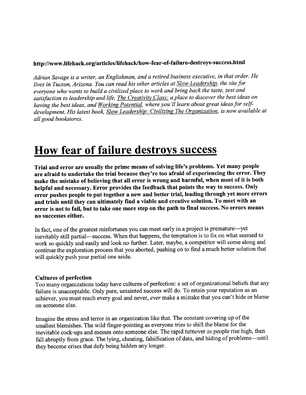# **http://www.lifehack.org/articles/lifehack/how-fear-of-failure-destroys-success.html**

*Adrian Savage is a writer, an Englishman, and a retired business executive, in that order. He lives in Tucson, Arizona. You can read his other articles at Slow Leadership, the site for everyone who wants to build a civilized place to work and bring back the taste, zest and satisfaction to leadership and life, The Creativity Class: a place to discover the best ideas on having the best ideas, and Working Potential, where you 'II learn about great ideas for selfdevelopment. His latest book, Slow Leadership: Civilizing The Organization, is now available at all good bookstores.*

# **How fear of failure destroys success**

**Trial and error are usually the prime means of solving life's problems. Yet many people are afraid to undertake the trial because they're too afraid of experiencing the error. They make the mistake of believing that all error is wrong and harmful, when most of it is both helpful and necessary. Error provides the feedback that points the way to success. Only error pushes people to put together a new and better trial, leading through yet more errors and trials until they can ultimately find a viable and creative solution. To meet with an error is not to fail, but to take one more step on the path to final success. No errors means no successes either.**

In fact, one of the greatest misfortunes you can meet early in a project is premature—yet inevitably still partial—success. When that happens, the temptation is to fix on what seemed to work so quickly and easily and look no further. Later, maybe, a competitor will come along and continue the exploration process that you aborted, pushing on to find a much better solution that will quickly push your partial one aside.

#### **Cultures of perfection**

Too many organizations today have cultures of perfection: a set of organizational beliefs that any failure is unacceptable. Only pure, untainted success will do. To retain your reputation as an achiever, you must reach every goal and never, *ever* make a mistake that you can't hide or blame on someone else.

Imagine the stress and terror in an organization like that. The constant covering up of the smallest blemishes. The wild finger-pointing as everyone tries to shift the blame for the inevitable cock-ups and messes onto someone else. The rapid turnover as people rise high, then fall abruptly from grace. The lying, cheating, falsification of data, and hiding of problems—until they become crises that defy being hidden any longer.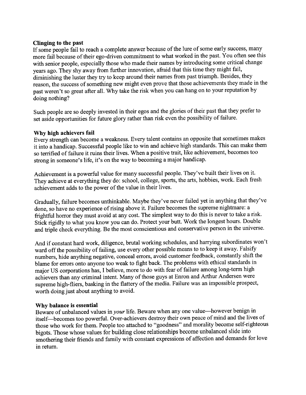## **Clinging to the past**

If some people fail to reach a complete answer because of the lure of some early success, many more fail because of their ego-driven commitment to what worked in the past. You often see this with senior people, especially those who made their names by introducing some critical change years ago. They shy away from further innovation, afraid that this time they might fail, diminishing the luster they try to keep around their names from past triumph. Besides, they reason, the success of something new might even prove that those achievements they made in the past weren't so great after all. Why take the risk when you can hang on to your reputation by doing nothing?

Such people are so deeply invested in their egos and the glories of their past that they prefer to set aside opportunities for future glory rather than risk even the possibility of failure.

### **Why high achievers fail**

Every strength can become a weakness. Every talent contains an opposite that sometimes makes it into a handicap. Successful people like to win and achieve high standards. This can make them so terrified of failure it ruins their lives. When a positive trait, like achievement, becomes too strong in someone's life, it's on the way to becoming a major handicap.

Achievement is a powerful value for many successful people. They've built their lives on it. They achieve at everything they do: school, college, sports, the arts, hobbies, work. Each fresh achievement adds to the power of the value in their lives.

Gradually, failure becomes unthinkable. Maybe they've never failed yet in anything that they've done, so have no experience of rising above it. Failure becomes the supreme nightmare: a frightful horror they must avoid at any cost. The simplest way to do this is never to take a risk. Stick rigidly to what you know you can do. Protect your butt. Work the longest hours. Double and triple check everything. Be the most conscientious and conservative person in the universe.

And if constant hard work, diligence, brutal working schedules, and harrying subordinates won't ward off the possibility of failing, use every other possible means to to keep it away. Falsify numbers, hide anything negative, conceal errors, avoid customer feedback, constantly shift the blame for errors onto anyone too weak to fight back. The problems with ethical standards in major US corporations has, I believe, more to do with fear of failure among long-term high achievers than any criminal intent. Many of those guys at Enron and Arthur Andersen were supreme high-fliers, basking in the flattery of the media. Failure was an impossible prospect, worth doing just about anything to avoid.

### **Why balance is essential**

Beware of unbalanced values *in your* life. Beware when any one value—however benign in itself—becomes too powerful. Over-achievers destroy their own peace of mind and the lives of those who work for them. People too attached to "goodness" and morality become self-righteous bigots. Those whose values for building close relationships become unbalanced slide into smothering their friends and family with constant expressions of affection and demands for love in return.